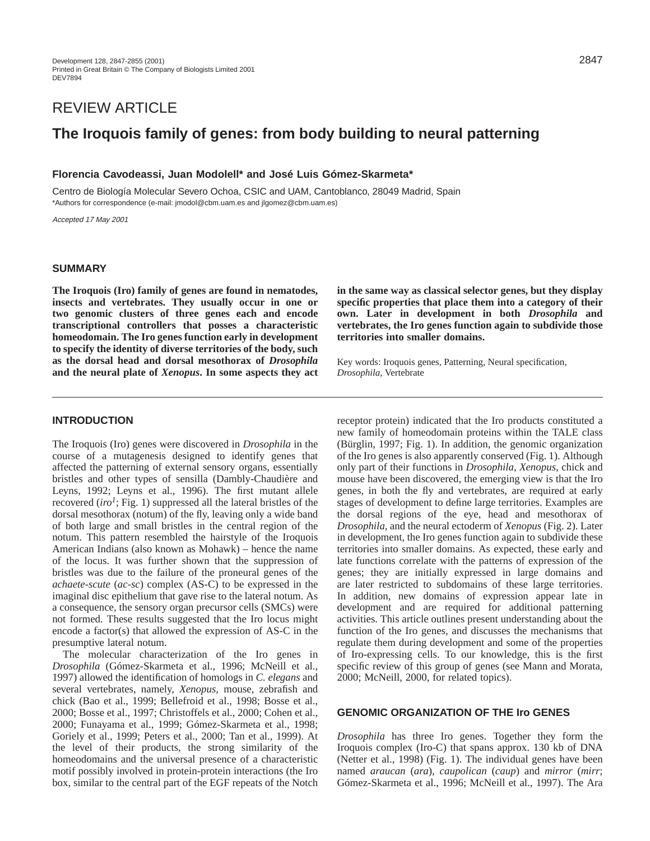# REVIEW ARTICLE

# **The Iroquois family of genes: from body building to neural patterning**

## **Florencia Cavodeassi, Juan Modolell\* and José Luis Gómez-Skarmeta\***

Centro de Biología Molecular Severo Ochoa, CSIC and UAM, Cantoblanco, 28049 Madrid, Spain \*Authors for correspondence (e-mail: jmodol@cbm.uam.es and jlgomez@cbm.uam.es)

Accepted 17 May 2001

## **SUMMARY**

**The Iroquois (Iro) family of genes are found in nematodes, insects and vertebrates. They usually occur in one or two genomic clusters of three genes each and encode transcriptional controllers that posses a characteristic homeodomain. The Iro genes function early in development to specify the identity of diverse territories of the body, such as the dorsal head and dorsal mesothorax of** *Drosophila* **and the neural plate of** *Xenopus***. In some aspects they act** **in the same way as classical selector genes, but they display specific properties that place them into a category of their own. Later in development in both** *Drosophila* **and vertebrates, the Iro genes function again to subdivide those territories into smaller domains.** 

Key words: Iroquois genes, Patterning, Neural specification, *Drosophila*, Vertebrate

# **INTRODUCTION**

The Iroquois (Iro) genes were discovered in *Drosophila* in the course of a mutagenesis designed to identify genes that affected the patterning of external sensory organs, essentially bristles and other types of sensilla (Dambly-Chaudière and Leyns, 1992; Leyns et al., 1996). The first mutant allele recovered  $(iro<sup>1</sup>; Fig. 1)$  suppressed all the lateral bristles of the dorsal mesothorax (notum) of the fly, leaving only a wide band of both large and small bristles in the central region of the notum. This pattern resembled the hairstyle of the Iroquois American Indians (also known as Mohawk) – hence the name of the locus. It was further shown that the suppression of bristles was due to the failure of the proneural genes of the *achaete-scute* (*ac-sc*) complex (AS-C) to be expressed in the imaginal disc epithelium that gave rise to the lateral notum. As a consequence, the sensory organ precursor cells (SMCs) were not formed. These results suggested that the Iro locus might encode a factor(s) that allowed the expression of AS-C in the presumptive lateral notum.

The molecular characterization of the Iro genes in *Drosophila* (Gómez-Skarmeta et al., 1996; McNeill et al., 1997) allowed the identification of homologs in *C. elegans* and several vertebrates, namely, *Xenopus*, mouse, zebrafish and chick (Bao et al., 1999; Bellefroid et al., 1998; Bosse et al., 2000; Bosse et al., 1997; Christoffels et al., 2000; Cohen et al., 2000; Funayama et al., 1999; Gómez-Skarmeta et al., 1998; Goriely et al., 1999; Peters et al., 2000; Tan et al., 1999). At the level of their products, the strong similarity of the homeodomains and the universal presence of a characteristic motif possibly involved in protein-protein interactions (the Iro box, similar to the central part of the EGF repeats of the Notch receptor protein) indicated that the Iro products constituted a new family of homeodomain proteins within the TALE class (Bürglin, 1997; Fig. 1). In addition, the genomic organization of the Iro genes is also apparently conserved (Fig. 1). Although only part of their functions in *Drosophila*, *Xenopus*, chick and mouse have been discovered, the emerging view is that the Iro genes, in both the fly and vertebrates, are required at early stages of development to define large territories. Examples are the dorsal regions of the eye, head and mesothorax of *Drosophila*, and the neural ectoderm of *Xenopus* (Fig. 2). Later in development, the Iro genes function again to subdivide these territories into smaller domains. As expected, these early and late functions correlate with the patterns of expression of the genes; they are initially expressed in large domains and are later restricted to subdomains of these large territories. In addition, new domains of expression appear late in development and are required for additional patterning activities. This article outlines present understanding about the function of the Iro genes, and discusses the mechanisms that regulate them during development and some of the properties of Iro-expressing cells. To our knowledge, this is the first specific review of this group of genes (see Mann and Morata, 2000; McNeill, 2000, for related topics).

## **GENOMIC ORGANIZATION OF THE Iro GENES**

*Drosophila* has three Iro genes. Together they form the Iroquois complex (Iro-C) that spans approx. 130 kb of DNA (Netter et al., 1998) (Fig. 1). The individual genes have been named *araucan* (*ara*), *caupolican* (*caup*) and *mirror* (*mirr*; Gómez-Skarmeta et al., 1996; McNeill et al., 1997). The Ara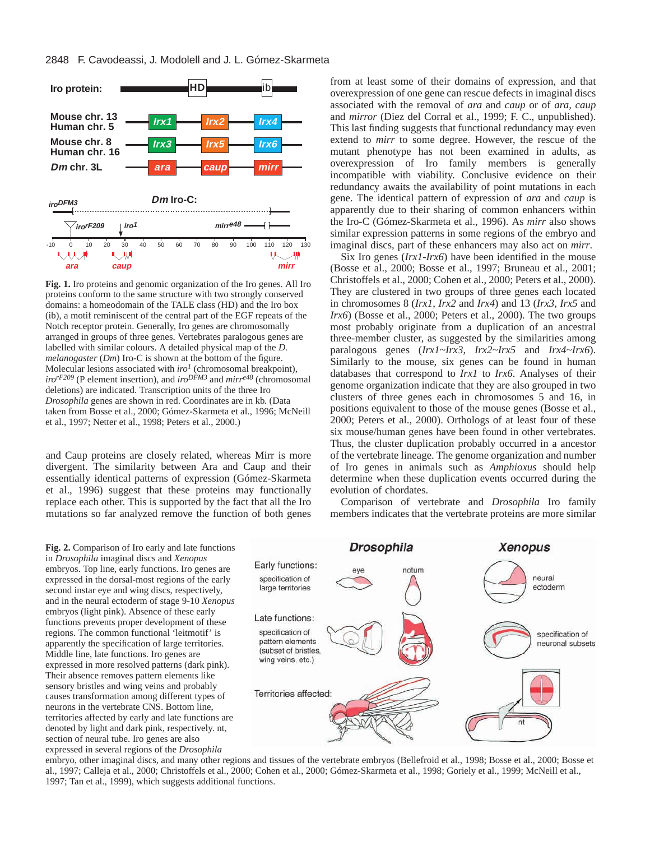

**Fig. 1.** Iro proteins and genomic organization of the Iro genes. All Iro proteins conform to the same structure with two strongly conserved domains: a homeodomain of the TALE class (HD) and the Iro box (ib), a motif reminiscent of the central part of the EGF repeats of the Notch receptor protein. Generally, Iro genes are chromosomally arranged in groups of three genes. Vertebrates paralogous genes are labelled with similar colours. A detailed physical map of the *D. melanogaster* (*Dm*) Iro-C is shown at the bottom of the figure. Molecular lesions associated with *iro1* (chromosomal breakpoint), *irorF209* (P element insertion), and *iroDFM3* and *mirre48* (chromosomal deletions) are indicated. Transcription units of the three Iro *Drosophila* genes are shown in red. Coordinates are in kb. (Data taken from Bosse et al., 2000; Gómez-Skarmeta et al., 1996; McNeill et al., 1997; Netter et al., 1998; Peters et al., 2000.)

and Caup proteins are closely related, whereas Mirr is more divergent. The similarity between Ara and Caup and their essentially identical patterns of expression (Gómez-Skarmeta et al., 1996) suggest that these proteins may functionally replace each other. This is supported by the fact that all the Iro mutations so far analyzed remove the function of both genes

from at least some of their domains of expression, and that overexpression of one gene can rescue defects in imaginal discs associated with the removal of *ara* and *caup* or of *ara*, *caup* and *mirror* (Diez del Corral et al., 1999; F. C., unpublished). This last finding suggests that functional redundancy may even extend to *mirr* to some degree. However, the rescue of the mutant phenotype has not been examined in adults, as overexpression of Iro family members is generally incompatible with viability. Conclusive evidence on their redundancy awaits the availability of point mutations in each gene. The identical pattern of expression of *ara* and *caup* is apparently due to their sharing of common enhancers within the Iro-C (Gómez-Skarmeta et al., 1996). As *mirr* also shows similar expression patterns in some regions of the embryo and imaginal discs, part of these enhancers may also act on *mirr*.

Six Iro genes (*Irx1-Irx6*) have been identified in the mouse (Bosse et al., 2000; Bosse et al., 1997; Bruneau et al., 2001; Christoffels et al., 2000; Cohen et al., 2000; Peters et al., 2000). They are clustered in two groups of three genes each located in chromosomes 8 (*Irx1*, *Irx2* and *Irx4*) and 13 (*Irx3*, *Irx5* and *Irx6*) (Bosse et al., 2000; Peters et al., 2000). The two groups most probably originate from a duplication of an ancestral three-member cluster, as suggested by the similarities among paralogous genes (*Irx1~Irx3*, *Irx2~Irx5* and *Irx4~Irx6*). Similarly to the mouse, six genes can be found in human databases that correspond to *Irx1* to *Irx6*. Analyses of their genome organization indicate that they are also grouped in two clusters of three genes each in chromosomes 5 and 16, in positions equivalent to those of the mouse genes (Bosse et al., 2000; Peters et al., 2000). Orthologs of at least four of these six mouse/human genes have been found in other vertebrates. Thus, the cluster duplication probably occurred in a ancestor of the vertebrate lineage. The genome organization and number of Iro genes in animals such as *Amphioxus* should help determine when these duplication events occurred during the evolution of chordates.

Comparison of vertebrate and *Drosophila* Iro family members indicates that the vertebrate proteins are more similar

**Fig. 2.** Comparison of Iro early and late functions in *Drosophila* imaginal discs and *Xenopus* embryos. Top line, early functions. Iro genes are expressed in the dorsal-most regions of the early second instar eye and wing discs, respectively, and in the neural ectoderm of stage 9-10 *Xenopus* embryos (light pink). Absence of these early functions prevents proper development of these regions. The common functional 'leitmotif' is apparently the specification of large territories. Middle line, late functions. Iro genes are expressed in more resolved patterns (dark pink). Their absence removes pattern elements like sensory bristles and wing veins and probably causes transformation among different types of neurons in the vertebrate CNS. Bottom line, territories affected by early and late functions are denoted by light and dark pink, respectively. nt, section of neural tube. Iro genes are also expressed in several regions of the *Drosophila*



embryo, other imaginal discs, and many other regions and tissues of the vertebrate embryos (Bellefroid et al., 1998; Bosse et al., 2000; Bosse et al., 1997; Calleja et al., 2000; Christoffels et al., 2000; Cohen et al., 2000; Gómez-Skarmeta et al., 1998; Goriely et al., 1999; McNeill et al., 1997; Tan et al., 1999), which suggests additional functions.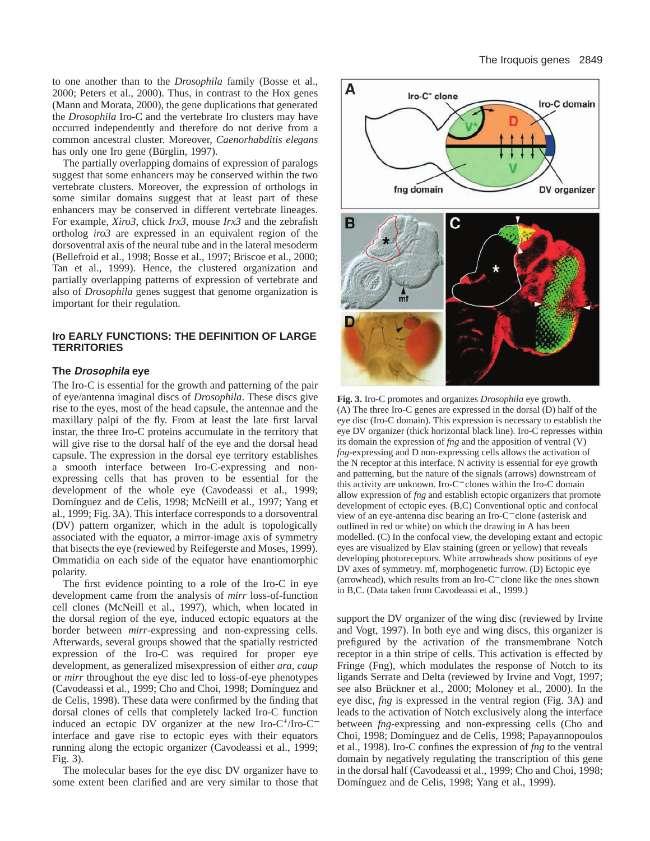to one another than to the *Drosophila* family (Bosse et al., 2000; Peters et al., 2000). Thus, in contrast to the Hox genes (Mann and Morata, 2000), the gene duplications that generated the *Drosophila* Iro-C and the vertebrate Iro clusters may have occurred independently and therefore do not derive from a common ancestral cluster. Moreover, *Caenorhabditis elegans* has only one Iro gene (Bürglin, 1997).

The partially overlapping domains of expression of paralogs suggest that some enhancers may be conserved within the two vertebrate clusters. Moreover, the expression of orthologs in some similar domains suggest that at least part of these enhancers may be conserved in different vertebrate lineages. For example, *Xiro3*, chick *Irx3*, mouse *Irx3* and the zebrafish ortholog *iro3* are expressed in an equivalent region of the dorsoventral axis of the neural tube and in the lateral mesoderm (Bellefroid et al., 1998; Bosse et al., 1997; Briscoe et al., 2000; Tan et al., 1999). Hence, the clustered organization and partially overlapping patterns of expression of vertebrate and also of *Drosophila* genes suggest that genome organization is important for their regulation.

#### **Iro EARLY FUNCTIONS: THE DEFINITION OF LARGE TERRITORIES**

#### **The Drosophila eye**

The Iro-C is essential for the growth and patterning of the pair of eye/antenna imaginal discs of *Drosophila*. These discs give rise to the eyes, most of the head capsule, the antennae and the maxillary palpi of the fly. From at least the late first larval instar, the three Iro-C proteins accumulate in the territory that will give rise to the dorsal half of the eye and the dorsal head capsule. The expression in the dorsal eye territory establishes a smooth interface between Iro-C-expressing and nonexpressing cells that has proven to be essential for the development of the whole eye (Cavodeassi et al., 1999; Domínguez and de Celis, 1998; McNeill et al., 1997; Yang et al., 1999; Fig. 3A). This interface corresponds to a dorsoventral (DV) pattern organizer, which in the adult is topologically associated with the equator, a mirror-image axis of symmetry that bisects the eye (reviewed by Reifegerste and Moses, 1999). Ommatidia on each side of the equator have enantiomorphic polarity.

The first evidence pointing to a role of the Iro-C in eye development came from the analysis of *mirr* loss-of-function cell clones (McNeill et al., 1997), which, when located in the dorsal region of the eye, induced ectopic equators at the border between *mirr*-expressing and non-expressing cells. Afterwards, several groups showed that the spatially restricted expression of the Iro-C was required for proper eye development, as generalized misexpression of either *ara*, *caup* or *mirr* throughout the eye disc led to loss-of-eye phenotypes (Cavodeassi et al., 1999; Cho and Choi, 1998; Domínguez and de Celis, 1998). These data were confirmed by the finding that dorsal clones of cells that completely lacked Iro-C function induced an ectopic DV organizer at the new Iro-C+/Iro-C<sup>−</sup> interface and gave rise to ectopic eyes with their equators running along the ectopic organizer (Cavodeassi et al., 1999; Fig. 3).

The molecular bases for the eye disc DV organizer have to some extent been clarified and are very similar to those that



**Fig. 3.** Iro-C promotes and organizes *Drosophila* eye growth. (A) The three Iro-C genes are expressed in the dorsal (D) half of the eye disc (Iro-C domain). This expression is necessary to establish the eye DV organizer (thick horizontal black line). Iro-C represses within its domain the expression of *fng* and the apposition of ventral (V) *fng*-expressing and D non-expressing cells allows the activation of the N receptor at this interface. N activity is essential for eye growth and patterning, but the nature of the signals (arrows) downstream of this activity are unknown. Iro-C<sup>−</sup> clones within the Iro-C domain allow expression of *fng* and establish ectopic organizers that promote development of ectopic eyes. (B,C) Conventional optic and confocal view of an eye-antenna disc bearing an Iro-C<sup>−</sup> clone (asterisk and outlined in red or white) on which the drawing in A has been modelled. (C) In the confocal view, the developing extant and ectopic eyes are visualized by Elav staining (green or yellow) that reveals developing photoreceptors. White arrowheads show positions of eye DV axes of symmetry. mf, morphogenetic furrow. (D) Ectopic eye (arrowhead), which results from an Iro-C<sup>−</sup> clone like the ones shown in B,C. (Data taken from Cavodeassi et al., 1999.)

support the DV organizer of the wing disc (reviewed by Irvine and Vogt, 1997). In both eye and wing discs, this organizer is prefigured by the activation of the transmembrane Notch receptor in a thin stripe of cells. This activation is effected by Fringe (Fng), which modulates the response of Notch to its ligands Serrate and Delta (reviewed by Irvine and Vogt, 1997; see also Brückner et al., 2000; Moloney et al., 2000). In the eye disc, *fng* is expressed in the ventral region (Fig. 3A) and leads to the activation of Notch exclusively along the interface between *fng*-expressing and non-expressing cells (Cho and Choi, 1998; Domínguez and de Celis, 1998; Papayannopoulos et al., 1998). Iro-C confines the expression of *fng* to the ventral domain by negatively regulating the transcription of this gene in the dorsal half (Cavodeassi et al., 1999; Cho and Choi, 1998; Domínguez and de Celis, 1998; Yang et al., 1999).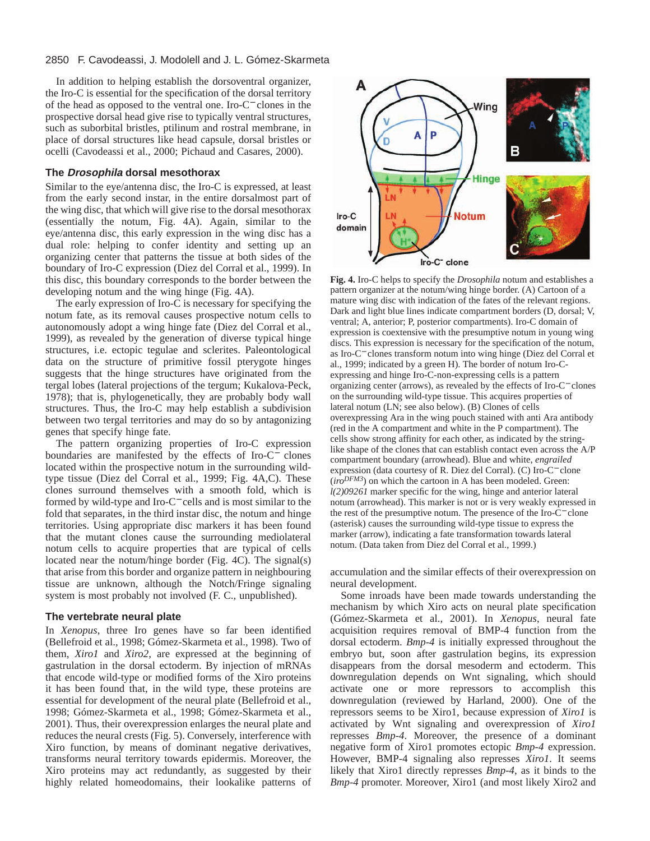#### 2850 F. Cavodeassi, J. Modolell and J. L. Gómez-Skarmeta

In addition to helping establish the dorsoventral organizer, the Iro-C is essential for the specification of the dorsal territory of the head as opposed to the ventral one. Iro-C<sup>−</sup> clones in the prospective dorsal head give rise to typically ventral structures, such as suborbital bristles, ptilinum and rostral membrane, in place of dorsal structures like head capsule, dorsal bristles or ocelli (Cavodeassi et al., 2000; Pichaud and Casares, 2000).

#### **The Drosophila dorsal mesothorax**

Similar to the eye/antenna disc, the Iro-C is expressed, at least from the early second instar, in the entire dorsalmost part of the wing disc, that which will give rise to the dorsal mesothorax (essentially the notum, Fig. 4A). Again, similar to the eye/antenna disc, this early expression in the wing disc has a dual role: helping to confer identity and setting up an organizing center that patterns the tissue at both sides of the boundary of Iro-C expression (Diez del Corral et al., 1999). In this disc, this boundary corresponds to the border between the developing notum and the wing hinge (Fig. 4A).

The early expression of Iro-C is necessary for specifying the notum fate, as its removal causes prospective notum cells to autonomously adopt a wing hinge fate (Diez del Corral et al., 1999), as revealed by the generation of diverse typical hinge structures, i.e. ectopic tegulae and sclerites. Paleontological data on the structure of primitive fossil pterygote hinges suggests that the hinge structures have originated from the tergal lobes (lateral projections of the tergum; Kukalova-Peck, 1978); that is, phylogenetically, they are probably body wall structures. Thus, the Iro-C may help establish a subdivision between two tergal territories and may do so by antagonizing genes that specify hinge fate.

The pattern organizing properties of Iro-C expression boundaries are manifested by the effects of Iro-C<sup>−</sup> clones located within the prospective notum in the surrounding wildtype tissue (Diez del Corral et al., 1999; Fig. 4A,C). These clones surround themselves with a smooth fold, which is formed by wild-type and Iro-C<sup>−</sup> cells and is most similar to the fold that separates, in the third instar disc, the notum and hinge territories. Using appropriate disc markers it has been found that the mutant clones cause the surrounding mediolateral notum cells to acquire properties that are typical of cells located near the notum/hinge border (Fig. 4C). The signal(s) that arise from this border and organize pattern in neighbouring tissue are unknown, although the Notch/Fringe signaling system is most probably not involved (F. C., unpublished).

#### **The vertebrate neural plate**

In *Xenopus*, three Iro genes have so far been identified (Bellefroid et al., 1998; Gómez-Skarmeta et al., 1998). Two of them, *Xiro1* and *Xiro2*, are expressed at the beginning of gastrulation in the dorsal ectoderm. By injection of mRNAs that encode wild-type or modified forms of the Xiro proteins it has been found that, in the wild type, these proteins are essential for development of the neural plate (Bellefroid et al., 1998; Gómez-Skarmeta et al., 1998; Gómez-Skarmeta et al., 2001). Thus, their overexpression enlarges the neural plate and reduces the neural crests (Fig. 5). Conversely, interference with Xiro function, by means of dominant negative derivatives, transforms neural territory towards epidermis. Moreover, the Xiro proteins may act redundantly, as suggested by their highly related homeodomains, their lookalike patterns of



**Fig. 4.** Iro-C helps to specify the *Drosophila* notum and establishes a pattern organizer at the notum/wing hinge border. (A) Cartoon of a mature wing disc with indication of the fates of the relevant regions. Dark and light blue lines indicate compartment borders (D, dorsal; V, ventral; A, anterior; P, posterior compartments). Iro-C domain of expression is coextensive with the presumptive notum in young wing discs. This expression is necessary for the specification of the notum, as Iro-C<sup>−</sup> clones transform notum into wing hinge (Diez del Corral et al., 1999; indicated by a green H). The border of notum Iro-Cexpressing and hinge Iro-C-non-expressing cells is a pattern organizing center (arrows), as revealed by the effects of Iro-C<sup>−</sup> clones on the surrounding wild-type tissue. This acquires properties of lateral notum (LN; see also below). (B) Clones of cells overexpressing Ara in the wing pouch stained with anti Ara antibody (red in the A compartment and white in the P compartment). The cells show strong affinity for each other, as indicated by the stringlike shape of the clones that can establish contact even across the A/P compartment boundary (arrowhead). Blue and white, *engrailed* expression (data courtesy of R. Diez del Corral). (C) Iro-C<sup>−</sup> clone  $(iro^{DFM3})$  on which the cartoon in A has been modeled. Green: *l(2)09261* marker specific for the wing, hinge and anterior lateral notum (arrowhead). This marker is not or is very weakly expressed in the rest of the presumptive notum. The presence of the Iro-C<sup>−</sup> clone (asterisk) causes the surrounding wild-type tissue to express the marker (arrow), indicating a fate transformation towards lateral notum. (Data taken from Diez del Corral et al., 1999.)

accumulation and the similar effects of their overexpression on neural development.

Some inroads have been made towards understanding the mechanism by which Xiro acts on neural plate specification (Gómez-Skarmeta et al., 2001). In *Xenopus*, neural fate acquisition requires removal of BMP-4 function from the dorsal ectoderm. *Bmp-4* is initially expressed throughout the embryo but, soon after gastrulation begins, its expression disappears from the dorsal mesoderm and ectoderm. This downregulation depends on Wnt signaling, which should activate one or more repressors to accomplish this downregulation (reviewed by Harland, 2000). One of the repressors seems to be Xiro1, because expression of *Xiro1* is activated by Wnt signaling and overexpression of *Xiro1* represses *Bmp-4*. Moreover, the presence of a dominant negative form of Xiro1 promotes ectopic *Bmp-4* expression. However, BMP-4 signaling also represses *Xiro1*. It seems likely that Xiro1 directly represses *Bmp-4*, as it binds to the *Bmp-4* promoter. Moreover, Xiro1 (and most likely Xiro2 and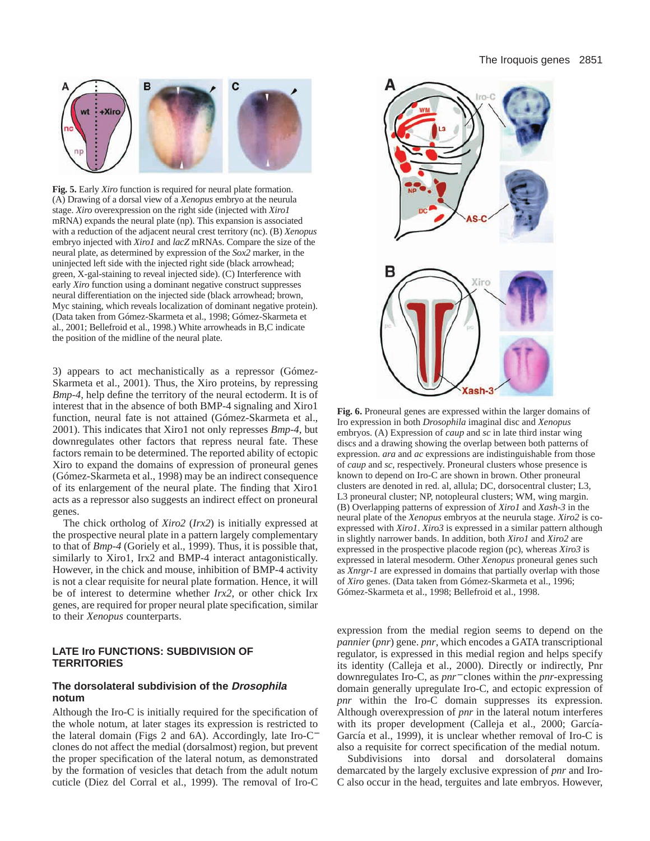

**Fig. 5.** Early *Xiro* function is required for neural plate formation. (A) Drawing of a dorsal view of a *Xenopus* embryo at the neurula stage. *Xiro* overexpression on the right side (injected with *Xiro1* mRNA) expands the neural plate (np). This expansion is associated with a reduction of the adjacent neural crest territory (nc). (B) *Xenopus* embryo injected with *Xiro1* and *lacZ* mRNAs. Compare the size of the neural plate, as determined by expression of the *Sox2* marker, in the uninjected left side with the injected right side (black arrowhead; green, X-gal-staining to reveal injected side). (C) Interference with early *Xiro* function using a dominant negative construct suppresses neural differentiation on the injected side (black arrowhead; brown, Myc staining, which reveals localization of dominant negative protein). (Data taken from Gómez-Skarmeta et al., 1998; Gómez-Skarmeta et al., 2001; Bellefroid et al., 1998.) White arrowheads in B,C indicate the position of the midline of the neural plate.

3) appears to act mechanistically as a repressor (Gómez-Skarmeta et al., 2001). Thus, the Xiro proteins, by repressing *Bmp-4*, help define the territory of the neural ectoderm. It is of interest that in the absence of both BMP-4 signaling and Xiro1 function, neural fate is not attained (Gómez-Skarmeta et al., 2001). This indicates that Xiro1 not only represses *Bmp-4*, but downregulates other factors that repress neural fate. These factors remain to be determined. The reported ability of ectopic Xiro to expand the domains of expression of proneural genes (Gómez-Skarmeta et al., 1998) may be an indirect consequence of its enlargement of the neural plate. The finding that Xiro1 acts as a repressor also suggests an indirect effect on proneural genes.

The chick ortholog of *Xiro2* (*Irx2*) is initially expressed at the prospective neural plate in a pattern largely complementary to that of *Bmp-4* (Goriely et al., 1999). Thus, it is possible that, similarly to Xiro1, Irx2 and BMP-4 interact antagonistically. However, in the chick and mouse, inhibition of BMP-4 activity is not a clear requisite for neural plate formation. Hence, it will be of interest to determine whether *Irx2*, or other chick Irx genes, are required for proper neural plate specification, similar to their *Xenopus* counterparts.

## **LATE Iro FUNCTIONS: SUBDIVISION OF TERRITORIES**

### **The dorsolateral subdivision of the Drosophila notum**

Although the Iro-C is initially required for the specification of the whole notum, at later stages its expression is restricted to the lateral domain (Figs 2 and 6A). Accordingly, late Iro-C<sup>−</sup> clones do not affect the medial (dorsalmost) region, but prevent the proper specification of the lateral notum, as demonstrated by the formation of vesicles that detach from the adult notum cuticle (Diez del Corral et al., 1999). The removal of Iro-C



**Fig. 6.** Proneural genes are expressed within the larger domains of Iro expression in both *Drosophila* imaginal disc and *Xenopus* embryos. (A) Expression of *caup* and *sc* in late third instar wing discs and a drawing showing the overlap between both patterns of expression. *ara* and *ac* expressions are indistinguishable from those of *caup* and *sc*, respectively. Proneural clusters whose presence is known to depend on Iro-C are shown in brown. Other proneural clusters are denoted in red. al, allula; DC, dorsocentral cluster; L3, L3 proneural cluster; NP, notopleural clusters; WM, wing margin. (B) Overlapping patterns of expression of *Xiro1* and *Xash-3* in the neural plate of the *Xenopus* embryos at the neurula stage. *Xiro2* is coexpressed with *Xiro1*. *Xiro3* is expressed in a similar pattern although in slightly narrower bands. In addition, both *Xiro1* and *Xiro2* are expressed in the prospective placode region (pc), whereas *Xiro3* is expressed in lateral mesoderm. Other *Xenopus* proneural genes such as *Xnrgr-1* are expressed in domains that partially overlap with those of *Xiro* genes. (Data taken from Gómez-Skarmeta et al., 1996; Gómez-Skarmeta et al., 1998; Bellefroid et al., 1998.

expression from the medial region seems to depend on the *pannier* (*pnr*) gene. *pnr*, which encodes a GATA transcriptional regulator, is expressed in this medial region and helps specify its identity (Calleja et al., 2000). Directly or indirectly, Pnr downregulates Iro-C, as *pnr*<sup>−</sup> clones within the *pnr*-expressing domain generally upregulate Iro-C, and ectopic expression of *pnr* within the Iro-C domain suppresses its expression. Although overexpression of *pnr* in the lateral notum interferes with its proper development (Calleja et al., 2000; García-García et al., 1999), it is unclear whether removal of Iro-C is also a requisite for correct specification of the medial notum.

Subdivisions into dorsal and dorsolateral domains demarcated by the largely exclusive expression of *pnr* and Iro-C also occur in the head, terguites and late embryos. However,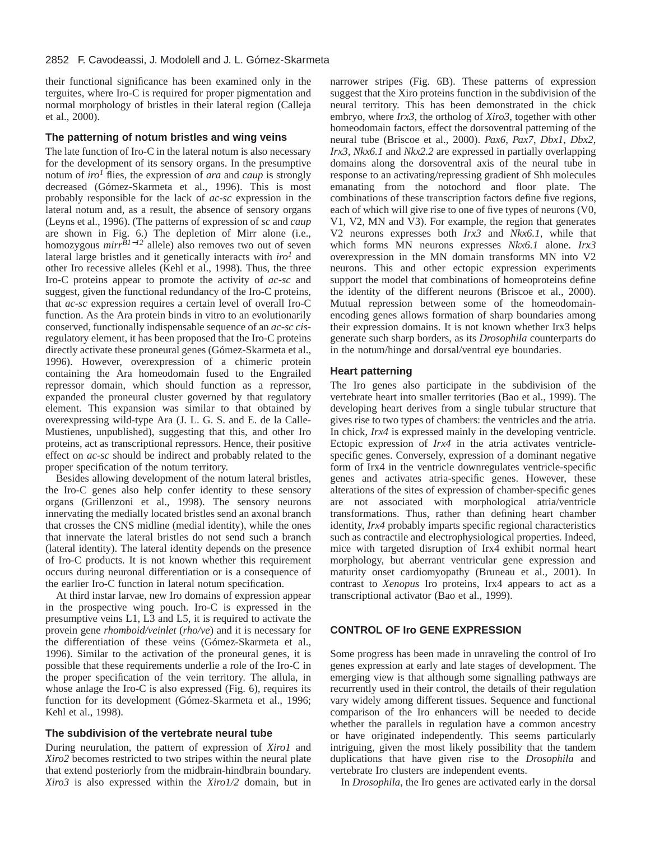#### 2852 F. Cavodeassi, J. Modolell and J. L. Gómez-Skarmeta

their functional significance has been examined only in the terguites, where Iro-C is required for proper pigmentation and normal morphology of bristles in their lateral region (Calleja et al., 2000).

## **The patterning of notum bristles and wing veins**

The late function of Iro-C in the lateral notum is also necessary for the development of its sensory organs. In the presumptive notum of *iro1* flies, the expression of *ara* and *caup* is strongly decreased (Gómez-Skarmeta et al., 1996). This is most probably responsible for the lack of *ac-sc* expression in the lateral notum and, as a result, the absence of sensory organs (Leyns et al., 1996). (The patterns of expression of *sc* and *caup* are shown in Fig. 6.) The depletion of Mirr alone (i.e., homozygous *mirr<sup>B1−12</sup>* allele) also removes two out of seven lateral large bristles and it genetically interacts with *iro<sup>1</sup>* and other Iro recessive alleles (Kehl et al., 1998). Thus, the three Iro-C proteins appear to promote the activity of *ac-sc* and suggest, given the functional redundancy of the Iro-C proteins, that *ac-sc* expression requires a certain level of overall Iro-C function. As the Ara protein binds in vitro to an evolutionarily conserved, functionally indispensable sequence of an *ac-sc cis*regulatory element, it has been proposed that the Iro-C proteins directly activate these proneural genes (Gómez-Skarmeta et al., 1996). However, overexpression of a chimeric protein containing the Ara homeodomain fused to the Engrailed repressor domain, which should function as a repressor, expanded the proneural cluster governed by that regulatory element. This expansion was similar to that obtained by overexpressing wild-type Ara (J. L. G. S. and E. de la Calle-Mustienes, unpublished), suggesting that this, and other Iro proteins, act as transcriptional repressors. Hence, their positive effect on *ac-sc* should be indirect and probably related to the proper specification of the notum territory.

Besides allowing development of the notum lateral bristles, the Iro-C genes also help confer identity to these sensory organs (Grillenzoni et al., 1998). The sensory neurons innervating the medially located bristles send an axonal branch that crosses the CNS midline (medial identity), while the ones that innervate the lateral bristles do not send such a branch (lateral identity). The lateral identity depends on the presence of Iro-C products. It is not known whether this requirement occurs during neuronal differentiation or is a consequence of the earlier Iro-C function in lateral notum specification.

At third instar larvae, new Iro domains of expression appear in the prospective wing pouch. Iro-C is expressed in the presumptive veins L1, L3 and L5, it is required to activate the provein gene *rhomboid/veinlet* (*rho/ve*) and it is necessary for the differentiation of these veins (Gómez-Skarmeta et al., 1996). Similar to the activation of the proneural genes, it is possible that these requirements underlie a role of the Iro-C in the proper specification of the vein territory. The allula, in whose anlage the Iro-C is also expressed (Fig. 6), requires its function for its development (Gómez-Skarmeta et al., 1996; Kehl et al., 1998).

#### **The subdivision of the vertebrate neural tube**

During neurulation, the pattern of expression of *Xiro1* and *Xiro2* becomes restricted to two stripes within the neural plate that extend posteriorly from the midbrain-hindbrain boundary. *Xiro3* is also expressed within the *Xiro1/2* domain, but in narrower stripes (Fig. 6B). These patterns of expression suggest that the Xiro proteins function in the subdivision of the neural territory. This has been demonstrated in the chick embryo, where *Irx3*, the ortholog of *Xiro3*, together with other homeodomain factors, effect the dorsoventral patterning of the neural tube (Briscoe et al., 2000). *Pax6*, *Pax7*, *Dbx1*, *Dbx2*, *Irx3*, *Nkx6.1* and *Nkx2.2* are expressed in partially overlapping domains along the dorsoventral axis of the neural tube in response to an activating/repressing gradient of Shh molecules emanating from the notochord and floor plate. The combinations of these transcription factors define five regions, each of which will give rise to one of five types of neurons (V0, V1, V2, MN and V3). For example, the region that generates V2 neurons expresses both *Irx3* and *Nkx6.1*, while that which forms MN neurons expresses *Nkx6.1* alone. *Irx3* overexpression in the MN domain transforms MN into V2 neurons. This and other ectopic expression experiments support the model that combinations of homeoproteins define the identity of the different neurons (Briscoe et al., 2000). Mutual repression between some of the homeodomainencoding genes allows formation of sharp boundaries among their expression domains. It is not known whether Irx3 helps generate such sharp borders, as its *Drosophila* counterparts do in the notum/hinge and dorsal/ventral eye boundaries.

### **Heart patterning**

The Iro genes also participate in the subdivision of the vertebrate heart into smaller territories (Bao et al., 1999). The developing heart derives from a single tubular structure that gives rise to two types of chambers: the ventricles and the atria. In chick, *Irx4* is expressed mainly in the developing ventricle. Ectopic expression of *Irx4* in the atria activates ventriclespecific genes. Conversely, expression of a dominant negative form of Irx4 in the ventricle downregulates ventricle-specific genes and activates atria-specific genes. However, these alterations of the sites of expression of chamber-specific genes are not associated with morphological atria/ventricle transformations. Thus, rather than defining heart chamber identity, *Irx4* probably imparts specific regional characteristics such as contractile and electrophysiological properties. Indeed, mice with targeted disruption of Irx4 exhibit normal heart morphology, but aberrant ventricular gene expression and maturity onset cardiomyopathy (Bruneau et al., 2001). In contrast to *Xenopus* Iro proteins, Irx4 appears to act as a transcriptional activator (Bao et al., 1999).

# **CONTROL OF Iro GENE EXPRESSION**

Some progress has been made in unraveling the control of Iro genes expression at early and late stages of development. The emerging view is that although some signalling pathways are recurrently used in their control, the details of their regulation vary widely among different tissues. Sequence and functional comparison of the Iro enhancers will be needed to decide whether the parallels in regulation have a common ancestry or have originated independently. This seems particularly intriguing, given the most likely possibility that the tandem duplications that have given rise to the *Drosophila* and vertebrate Iro clusters are independent events.

In *Drosophila*, the Iro genes are activated early in the dorsal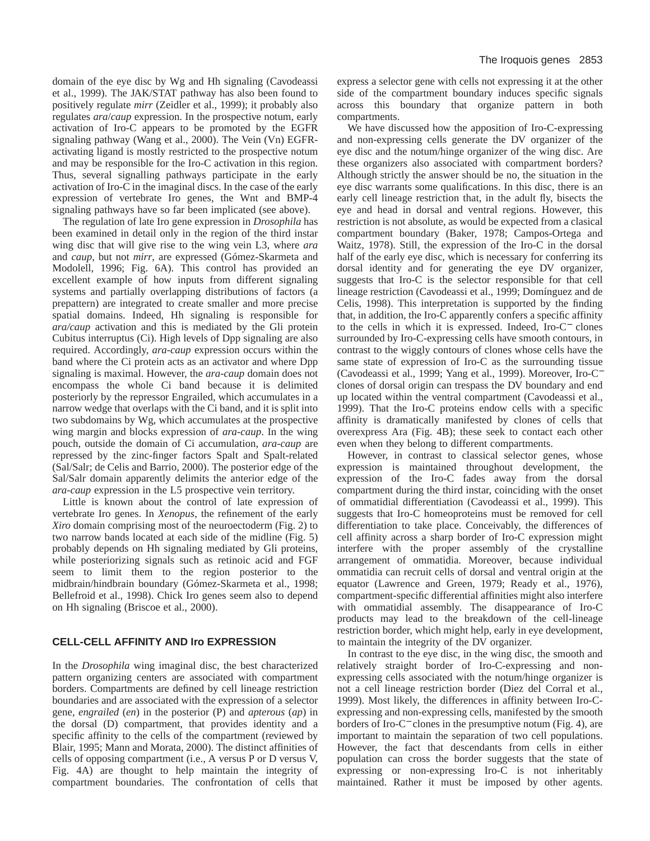domain of the eye disc by Wg and Hh signaling (Cavodeassi et al., 1999). The JAK/STAT pathway has also been found to positively regulate *mirr* (Zeidler et al., 1999); it probably also regulates *ara*/*caup* expression. In the prospective notum, early activation of Iro-C appears to be promoted by the EGFR signaling pathway (Wang et al., 2000). The Vein (Vn) EGFRactivating ligand is mostly restricted to the prospective notum and may be responsible for the Iro-C activation in this region. Thus, several signalling pathways participate in the early activation of Iro-C in the imaginal discs. In the case of the early expression of vertebrate Iro genes, the Wnt and BMP-4 signaling pathways have so far been implicated (see above).

The regulation of late Iro gene expression in *Drosophila* has been examined in detail only in the region of the third instar wing disc that will give rise to the wing vein L3, where *ara* and *caup*, but not *mirr*, are expressed (Gómez-Skarmeta and Modolell, 1996; Fig. 6A). This control has provided an excellent example of how inputs from different signaling systems and partially overlapping distributions of factors (a prepattern) are integrated to create smaller and more precise spatial domains. Indeed, Hh signaling is responsible for *ara/caup* activation and this is mediated by the Gli protein Cubitus interruptus (Ci). High levels of Dpp signaling are also required. Accordingly, *ara-caup* expression occurs within the band where the Ci protein acts as an activator and where Dpp signaling is maximal. However, the *ara-caup* domain does not encompass the whole Ci band because it is delimited posteriorly by the repressor Engrailed, which accumulates in a narrow wedge that overlaps with the Ci band, and it is split into two subdomains by Wg, which accumulates at the prospective wing margin and blocks expression of *ara-caup*. In the wing pouch, outside the domain of Ci accumulation, *ara-caup* are repressed by the zinc-finger factors Spalt and Spalt-related (Sal/Salr; de Celis and Barrio, 2000). The posterior edge of the Sal/Salr domain apparently delimits the anterior edge of the *ara-caup* expression in the L5 prospective vein territory.

Little is known about the control of late expression of vertebrate Iro genes. In *Xenopus*, the refinement of the early *Xiro* domain comprising most of the neuroectoderm (Fig. 2) to two narrow bands located at each side of the midline (Fig. 5) probably depends on Hh signaling mediated by Gli proteins, while posteriorizing signals such as retinoic acid and FGF seem to limit them to the region posterior to the midbrain/hindbrain boundary (Gómez-Skarmeta et al., 1998; Bellefroid et al., 1998). Chick Iro genes seem also to depend on Hh signaling (Briscoe et al., 2000).

# **CELL-CELL AFFINITY AND Iro EXPRESSION**

In the *Drosophila* wing imaginal disc, the best characterized pattern organizing centers are associated with compartment borders. Compartments are defined by cell lineage restriction boundaries and are associated with the expression of a selector gene, *engrailed* (*en*) in the posterior (P) and *apterous* (*ap*) in the dorsal (D) compartment, that provides identity and a specific affinity to the cells of the compartment (reviewed by Blair, 1995; Mann and Morata, 2000). The distinct affinities of cells of opposing compartment (i.e., A versus P or D versus V, Fig. 4A) are thought to help maintain the integrity of compartment boundaries. The confrontation of cells that

express a selector gene with cells not expressing it at the other side of the compartment boundary induces specific signals across this boundary that organize pattern in both compartments.

We have discussed how the apposition of Iro-C-expressing and non-expressing cells generate the DV organizer of the eye disc and the notum/hinge organizer of the wing disc. Are these organizers also associated with compartment borders? Although strictly the answer should be no, the situation in the eye disc warrants some qualifications. In this disc, there is an early cell lineage restriction that, in the adult fly, bisects the eye and head in dorsal and ventral regions. However, this restriction is not absolute, as would be expected from a clasical compartment boundary (Baker, 1978; Campos-Ortega and Waitz, 1978). Still, the expression of the Iro-C in the dorsal half of the early eye disc, which is necessary for conferring its dorsal identity and for generating the eye DV organizer, suggests that Iro-C is the selector responsible for that cell lineage restriction (Cavodeassi et al., 1999; Domínguez and de Celis, 1998). This interpretation is supported by the finding that, in addition, the Iro-C apparently confers a specific affinity to the cells in which it is expressed. Indeed, Iro-C<sup>−</sup> clones surrounded by Iro-C-expressing cells have smooth contours, in contrast to the wiggly contours of clones whose cells have the same state of expression of Iro-C as the surrounding tissue (Cavodeassi et al., 1999; Yang et al., 1999). Moreover, Iro-C<sup>−</sup> clones of dorsal origin can trespass the DV boundary and end up located within the ventral compartment (Cavodeassi et al., 1999). That the Iro-C proteins endow cells with a specific affinity is dramatically manifested by clones of cells that overexpress Ara (Fig. 4B); these seek to contact each other even when they belong to different compartments.

However, in contrast to classical selector genes, whose expression is maintained throughout development, the expression of the Iro-C fades away from the dorsal compartment during the third instar, coinciding with the onset of ommatidial differentiation (Cavodeassi et al., 1999). This suggests that Iro-C homeoproteins must be removed for cell differentiation to take place. Conceivably, the differences of cell affinity across a sharp border of Iro-C expression might interfere with the proper assembly of the crystalline arrangement of ommatidia. Moreover, because individual ommatidia can recruit cells of dorsal and ventral origin at the equator (Lawrence and Green, 1979; Ready et al., 1976), compartment-specific differential affinities might also interfere with ommatidial assembly. The disappearance of Iro-C products may lead to the breakdown of the cell-lineage restriction border, which might help, early in eye development, to maintain the integrity of the DV organizer.

In contrast to the eye disc, in the wing disc, the smooth and relatively straight border of Iro-C-expressing and nonexpressing cells associated with the notum/hinge organizer is not a cell lineage restriction border (Diez del Corral et al., 1999). Most likely, the differences in affinity between Iro-Cexpressing and non-expressing cells, manifested by the smooth borders of Iro-C<sup>−</sup> clones in the presumptive notum (Fig. 4), are important to maintain the separation of two cell populations. However, the fact that descendants from cells in either population can cross the border suggests that the state of expressing or non-expressing Iro-C is not inheritably maintained. Rather it must be imposed by other agents.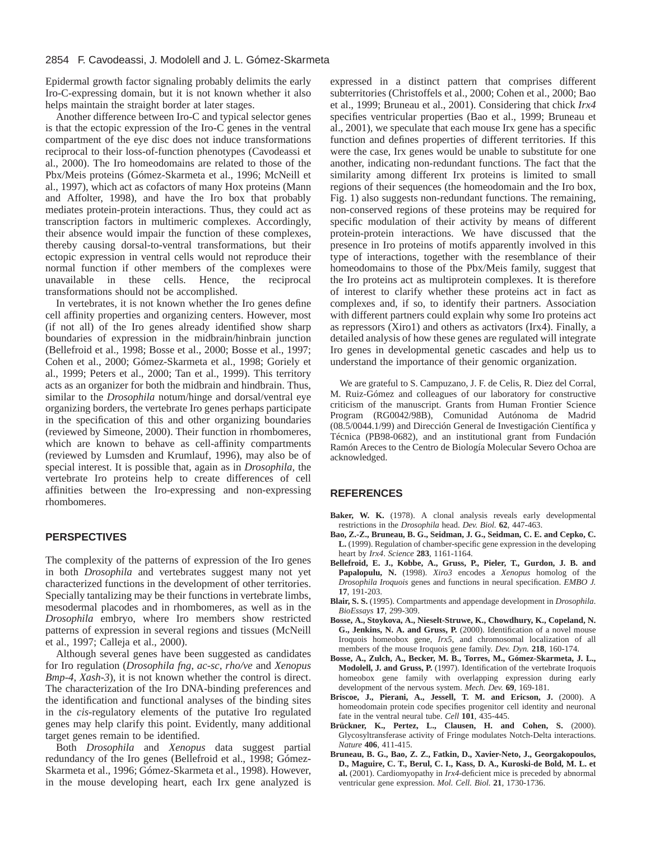Epidermal growth factor signaling probably delimits the early Iro-C-expressing domain, but it is not known whether it also helps maintain the straight border at later stages.

Another difference between Iro-C and typical selector genes is that the ectopic expression of the Iro-C genes in the ventral compartment of the eye disc does not induce transformations reciprocal to their loss-of-function phenotypes (Cavodeassi et al., 2000). The Iro homeodomains are related to those of the Pbx/Meis proteins (Gómez-Skarmeta et al., 1996; McNeill et al., 1997), which act as cofactors of many Hox proteins (Mann and Affolter, 1998), and have the Iro box that probably mediates protein-protein interactions. Thus, they could act as transcription factors in multimeric complexes. Accordingly, their absence would impair the function of these complexes, thereby causing dorsal-to-ventral transformations, but their ectopic expression in ventral cells would not reproduce their normal function if other members of the complexes were unavailable in these cells. Hence, the reciprocal transformations should not be accomplished.

In vertebrates, it is not known whether the Iro genes define cell affinity properties and organizing centers. However, most (if not all) of the Iro genes already identified show sharp boundaries of expression in the midbrain/hinbrain junction (Bellefroid et al., 1998; Bosse et al., 2000; Bosse et al., 1997; Cohen et al., 2000; Gómez-Skarmeta et al., 1998; Goriely et al., 1999; Peters et al., 2000; Tan et al., 1999). This territory acts as an organizer for both the midbrain and hindbrain. Thus, similar to the *Drosophila* notum/hinge and dorsal/ventral eye organizing borders, the vertebrate Iro genes perhaps participate in the specification of this and other organizing boundaries (reviewed by Simeone, 2000). Their function in rhombomeres, which are known to behave as cell-affinity compartments (reviewed by Lumsden and Krumlauf, 1996), may also be of special interest. It is possible that, again as in *Drosophila*, the vertebrate Iro proteins help to create differences of cell affinities between the Iro-expressing and non-expressing rhombomeres.

# **PERSPECTIVES**

The complexity of the patterns of expression of the Iro genes in both *Drosophila* and vertebrates suggest many not yet characterized functions in the development of other territories. Specially tantalizing may be their functions in vertebrate limbs, mesodermal placodes and in rhombomeres, as well as in the *Drosophila* embryo, where Iro members show restricted patterns of expression in several regions and tissues (McNeill et al., 1997; Calleja et al., 2000).

Although several genes have been suggested as candidates for Iro regulation (*Drosophila fng*, *ac-sc*, *rho/ve* and *Xenopus Bmp-4*, *Xash-3*), it is not known whether the control is direct. The characterization of the Iro DNA-binding preferences and the identification and functional analyses of the binding sites in the *cis*-regulatory elements of the putative Iro regulated genes may help clarify this point. Evidently, many additional target genes remain to be identified.

Both *Drosophila* and *Xenopus* data suggest partial redundancy of the Iro genes (Bellefroid et al., 1998; Gómez-Skarmeta et al., 1996; Gómez-Skarmeta et al., 1998). However, in the mouse developing heart, each Irx gene analyzed is expressed in a distinct pattern that comprises different subterritories (Christoffels et al., 2000; Cohen et al., 2000; Bao et al., 1999; Bruneau et al., 2001). Considering that chick *Irx4* specifies ventricular properties (Bao et al., 1999; Bruneau et al., 2001), we speculate that each mouse Irx gene has a specific function and defines properties of different territories. If this were the case, Irx genes would be unable to substitute for one another, indicating non-redundant functions. The fact that the similarity among different Irx proteins is limited to small regions of their sequences (the homeodomain and the Iro box, Fig. 1) also suggests non-redundant functions. The remaining, non-conserved regions of these proteins may be required for specific modulation of their activity by means of different protein-protein interactions. We have discussed that the presence in Iro proteins of motifs apparently involved in this type of interactions, together with the resemblance of their homeodomains to those of the Pbx/Meis family, suggest that the Iro proteins act as multiprotein complexes. It is therefore of interest to clarify whether these proteins act in fact as complexes and, if so, to identify their partners. Association with different partners could explain why some Iro proteins act as repressors (Xiro1) and others as activators (Irx4). Finally, a detailed analysis of how these genes are regulated will integrate Iro genes in developmental genetic cascades and help us to understand the importance of their genomic organization.

We are grateful to S. Campuzano, J. F. de Celis, R. Diez del Corral, M. Ruiz-Gómez and colleagues of our laboratory for constructive criticism of the manuscript. Grants from Human Frontier Science Program (RG0042/98B), Comunidad Autónoma de Madrid (08.5/0044.1/99) and Dirección General de Investigación Científica y Técnica (PB98-0682), and an institutional grant from Fundación Ramón Areces to the Centro de Biología Molecular Severo Ochoa are acknowledged.

## **REFERENCES**

- Baker, W. K. (1978). A clonal analysis reveals early developmental restrictions in the *Drosophila* head. *Dev. Biol.* **62**, 447-463.
- **Bao, Z.-Z., Bruneau, B. G., Seidman, J. G., Seidman, C. E. and Cepko, C. L.** (1999). Regulation of chamber-specific gene expression in the developing heart by *Irx4*. *Science* **283**, 1161-1164.
- **Bellefroid, E. J., Kobbe, A., Gruss, P., Pieler, T., Gurdon, J. B. and Papalopulu, N.** (1998). *Xiro3* encodes a *Xenopus* homolog of the *Drosophila Iroquois* genes and functions in neural specification. *EMBO J.* **17**, 191-203.
- **Blair, S. S.** (1995). Compartments and appendage development in *Drosophila*. *BioEssays* **17**, 299-309.
- **Bosse, A., Stoykova, A., Nieselt-Struwe, K., Chowdhury, K., Copeland, N. G., Jenkins, N. A. and Gruss, P.** (2000). Identification of a novel mouse Iroquois homeobox gene, *Irx5*, and chromosomal localization of all members of the mouse Iroquois gene family. *Dev. Dyn.* **218**, 160-174.
- **Bosse, A., Zulch, A., Becker, M. B., Torres, M., Gómez-Skarmeta, J. L., Modolell, J. and Gruss, P.** (1997). Identification of the vertebrate Iroquois homeobox gene family with overlapping expression during early development of the nervous system. *Mech. Dev.* **69**, 169-181.
- **Briscoe, J., Pierani, A., Jessell, T. M. and Ericson, J.** (2000). A homeodomain protein code specifies progenitor cell identity and neuronal fate in the ventral neural tube. *Cell* **101**, 435-445.
- **Brückner, K., Pertez, L., Clausen, H. and Cohen, S.** (2000). Glycosyltransferase activity of Fringe modulates Notch-Delta interactions. *Nature* **406**, 411-415.
- **Bruneau, B. G., Bao, Z. Z., Fatkin, D., Xavier-Neto, J., Georgakopoulos, D., Maguire, C. T., Berul, C. I., Kass, D. A., Kuroski-de Bold, M. L. et al.** (2001). Cardiomyopathy in *Irx4*-deficient mice is preceded by abnormal ventricular gene expression. *Mol. Cell. Biol.* **21**, 1730-1736.